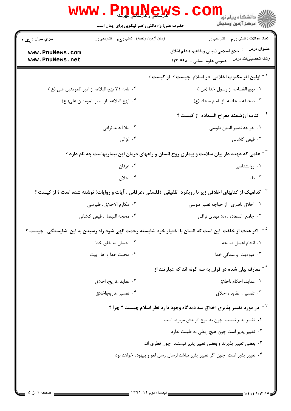| <b>WWW.PRITTINGWS</b>                                                                          | الله دانشگاه پیام نور COM<br>الله عرکز آزمون وسنجش<br>حضرت علی(ع): دانش راهبر نیکویی برای ایمان است                                 |
|------------------------------------------------------------------------------------------------|-------------------------------------------------------------------------------------------------------------------------------------|
| زمان أزمون (دقيقه) : تستي : <sub>۴۵</sub> تشريحي : <sub>.</sub><br>سري سوال : <sub>ي</sub> ک ۱ | تعداد سوالات : تستي : <sub>م</sub> م      تشريحي : <sub>.</sub>                                                                     |
| www.PnuNews.com<br>www.PnuNews.net                                                             | عنــوان درس<br><sup>:</sup> اخلاق اسلامی (مبانی ومفاهیم )،علم اخلاق<br>رشته تحصیلي/کد در س ۔ عمومی علوم انسانی – ۱۲۲۰۴۹۸            |
|                                                                                                | <sup>۱ -</sup> اولین اثر مکتوب اخلاقی در اسلام چیست ؟ از کیست ؟                                                                     |
| ٠٢ نامه ٣١ نهج البلاغه از امير المومنين على (ع )                                               | ٠١ نهج الفصاحه از رسول خدا (ص )                                                                                                     |
| ۰۴ نهج البلاغه از امير المومنين علي(ع)                                                         | ٠٣ صحيفه سجاديه از امام سجاد (ع)                                                                                                    |
|                                                                                                | <sup>۲ -</sup> کتاب ارزشمند معراج السعاده از کیست ؟                                                                                 |
| ۰۲ ملا احمد نراقی                                                                              | ٠١. خواجه نصير الدين طوسي                                                                                                           |
| ۰۴ غزالی                                                                                       | ۰۳ فیض کاشانی                                                                                                                       |
|                                                                                                | <sup>۳ -</sup> علمی که عهده دار بیان سلامت و بیماری روح انسان و راههای درمان این بیماریهاست چه نام دارد ؟                           |
| ۰۲ عرفان                                                                                       | ۰۱ روانشناسی                                                                                                                        |
| ۰۴ اخلاق                                                                                       | ۰۳ طب                                                                                                                               |
|                                                                                                | <sup>۶</sup> <sup>-</sup> کدامیک از کتابهای اخلاقی زیر با رویکرد  تلفیقی  (فلسفی ،عرفانی ، آیات و روایات) نوشته شده است ؟ از کیست ؟ |
| ٠٢ مكارم الاخلاق . طبرسي                                                                       | ۰۱ اخلاق ناصری . از خواجه نصیر طوسی                                                                                                 |
| ۰۴ محجه البيضا . فيض كاشاني                                                                    | ٠٣ جامع السعاده . ملا مهدى نراقى                                                                                                    |
|                                                                                                | <sup>۵ -</sup> اگر هدف از خلقت  این است که انسان با اختیار خود شایسته رحمت الهی شود راه رسیدن به این  شایستگی  چیست ؟               |
| ۰۲ احسان به خلق خدا                                                                            | ٠١. انجام اعمال صالحه                                                                                                               |
| ۰۴ محبت خدا و اهل بيت                                                                          | ۰۳ عبودیت و بندگی خدا                                                                                                               |
|                                                                                                | معارف بیان شده در قران به سه گونه اند که عبارتند از $\tilde{\phantom{a}}$                                                           |
| ۰۲ عقاید ،تاریخ، اخلاق                                                                         | ٠١. عقايد، احكام ،اخلاق                                                                                                             |
| ۰۴ تفسیر ،تاریخ،اخلاق                                                                          | ۰۳ تفسیر ، عقاید ، اخلاق                                                                                                            |
|                                                                                                | در مورد تغییر پذیری اخلاق سه دیدگاه وجود دارد نظر اسلام چیست ؟ چرا ؟ $^{\vee}$                                                      |
|                                                                                                | ٠١ تغيير پذير نيست چون به نوع افرينش مربوط است                                                                                      |
|                                                                                                | ۰۲ تغییر پذیر است چون هیچ ربطی به طینت ندارد                                                                                        |
|                                                                                                | ۰۳ بعضي تغيير پذيرند و بعضي تغيير پذير نيستند چون فطري اند                                                                          |
|                                                                                                | ۰۴ تغییر پذیر است چون اگر تغییر پذیر نباشد ارسال رسل لغو و بیهوده خواهد بود                                                         |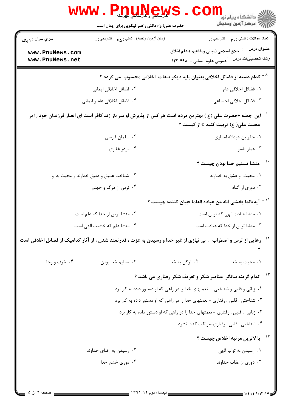|                                                                                         | <b>WWW.Phylinews</b><br>حضرت علی(ع): دانش راهبر نیکویی برای ایمان است                                                                                          | ی دانشگاه پیام نور<br>آقای دانشگاه پیام نور<br>آقایم میکنا آنهون وسنجش                                                          |  |  |  |  |
|-----------------------------------------------------------------------------------------|----------------------------------------------------------------------------------------------------------------------------------------------------------------|---------------------------------------------------------------------------------------------------------------------------------|--|--|--|--|
| سري سوال : ۱ يک                                                                         | زمان أزمون (دقيقه) : تستي : <sub>۴۵</sub> تشريحي : <sub>•</sub>                                                                                                | تعداد سوالات : تستي : پم       تشريحي : <sub>.</sub>                                                                            |  |  |  |  |
| www.PnuNews.com<br>www.PnuNews.net                                                      |                                                                                                                                                                | عنــوان درس<br><sup>:</sup> اخلاق اسلامی (مبانی ومفاهیم )،علم اخلاق<br>رشته تحصیلي/کد در سن عمومی علوم انسانی – ۱۲۲۰۴۹۸         |  |  |  |  |
| <sup>^ -</sup> كدام دسته از فضائل اخلاقی بعنوان پایه دیگر صفات  اخلاقی محسوب  می گردد ؟ |                                                                                                                                                                |                                                                                                                                 |  |  |  |  |
|                                                                                         | ۰۲ فضائل اخلاقی ایمانی                                                                                                                                         | ٠١. فضائل اخلاقي عام                                                                                                            |  |  |  |  |
|                                                                                         | ۰۴ فضائل اخلاقي عام و ايماني                                                                                                                                   | ۰۳ فضائل اخلاقی اجتماعی                                                                                                         |  |  |  |  |
|                                                                                         | <sup>۹ -</sup> این جمله «حضرت علی (ع ) بهترین مردم است هر کس از پذیرش او سر باز زند کافر است ای انصار فرزندان خود را بر<br>محبت علي( ع) تربيت كنيد » از كيست ؟ |                                                                                                                                 |  |  |  |  |
|                                                                                         | ۰۲ سلمان فارسى                                                                                                                                                 | ٠١. جابر بن عبدالله انصارى                                                                                                      |  |  |  |  |
|                                                                                         | ۰۴ ابوذر غفاری                                                                                                                                                 | ۰۳ عمار یاسر                                                                                                                    |  |  |  |  |
|                                                                                         |                                                                                                                                                                | <sup>٬ -</sup> منشا تسليم خدا بودن چيست ؟                                                                                       |  |  |  |  |
|                                                                                         | ۰۲ شناخت عمیق و دقیق خداوند و محبت به او                                                                                                                       | ۰۱ محبت وعشق به خداوند                                                                                                          |  |  |  |  |
|                                                                                         | ۰۴ ترس از مرگ و جهنم                                                                                                                                           | ۰۳ دوري از گناه                                                                                                                 |  |  |  |  |
|                                                                                         |                                                                                                                                                                | `` - آيه«انما يخشى الله من عباده العلما »بيان كننده چيست ؟                                                                      |  |  |  |  |
|                                                                                         | ۰۲ منشا ترس از خدا که علم است                                                                                                                                  | ۰۱ منشا عبادت الهی که ترس است                                                                                                   |  |  |  |  |
|                                                                                         | ۰۴ منشا علم که خشیت الهی است                                                                                                                                   | ۰۳ منشا ترس از خدا که عبادت است                                                                                                 |  |  |  |  |
|                                                                                         |                                                                                                                                                                | <sup>۱۲ -</sup> رهایی از ترس و اضطراب  ،  بی نیازی از غیر خدا و رسیدن به عزت ، قدرتمند شدن ، از آثار کدامیک از فضائل اخلاقی است |  |  |  |  |
| ۰۴ خوف و رجا                                                                            | ۰۳ تسليم خدا بودن                                                                                                                                              | ۰۲ توکل به خدا<br>۰۱ محبت به خدا                                                                                                |  |  |  |  |
|                                                                                         |                                                                                                                                                                | <sup>۱۳ -</sup> کدام گزینه بیانگر  عناصر شکر و تعریف شکر رفتاری می باشد ؟                                                       |  |  |  |  |
|                                                                                         |                                                                                                                                                                | ۰۱ زبانی و قلبی و شناختی - نعمتهای خدا را در راهی که او دستور داده به کار برد                                                   |  |  |  |  |
|                                                                                         |                                                                                                                                                                | ۰۲ شناختی . قلبی . رفتاری - نعمتهای خدا را در راهی که او دستور داده به کار برد                                                  |  |  |  |  |
|                                                                                         |                                                                                                                                                                | ۰۳ زبانی . قلبی . رفتاری - نعمتهای خدا را در راهی که او دستور داده به کار برد                                                   |  |  |  |  |
|                                                                                         |                                                                                                                                                                | ۰۴ شناختی . قلبی . رفتاری-مرتکب گناه نشود                                                                                       |  |  |  |  |
|                                                                                         |                                                                                                                                                                | <sup>۱۴ -</sup> با لاترین مرتبه اخلاص چیست ؟                                                                                    |  |  |  |  |
|                                                                                         | ۰۲ رسیدن به رضای خداوند                                                                                                                                        | ٠١. رسيدن به ثواب الهي                                                                                                          |  |  |  |  |
|                                                                                         | ۰۴ دوری خشم خدا                                                                                                                                                | ۰۳ دوری از عقاب خداوند                                                                                                          |  |  |  |  |
|                                                                                         |                                                                                                                                                                |                                                                                                                                 |  |  |  |  |

Ē.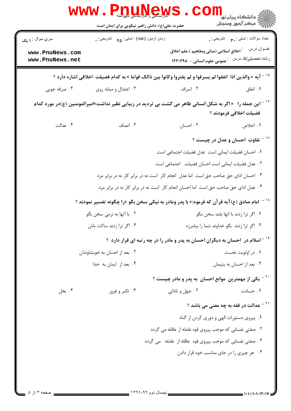| ڪ دانشڪاه پيا <sub>م</sub> نور<br>7 مرڪز آزمون وسنڊش                                                                                             | حضرت علی(ع): دانش راهبر نیکویی برای ایمان است        |                                    |
|--------------------------------------------------------------------------------------------------------------------------------------------------|------------------------------------------------------|------------------------------------|
| تعداد سوالات : تستي : پم       تشريحي : .                                                                                                        | زمان أزمون (دقيقه) : تستي : <sub>۴۵</sub> تشريحي : . | سري سوال : ۱ يک                    |
| عنــوان درس<br><sup>:</sup> اخلاق اسلامی (مبانی ومفاهیم )،علم اخلاق<br>رشته تحصيلي/كد درس<br>عمومی علوم انسانی - ۱۲۲۰۴۹۸                         |                                                      | www.PnuNews.com<br>www.PnuNews.net |
| <sup>۱۵ -</sup> آیه « والذین اذا  انفقوا لم یسرفوا و لم یقتروا وکانوا بین ذالک قواما » به کدام فضیلت  اخلاقی اشاره دارد ؟                        |                                                      |                                    |
| ۰۲ اسراف<br>۰۱ انفاق                                                                                                                             | ۰۳ اعتدال و میانه روی                                | ۰۴ صرفه جویی                       |
| ۱ <sup>۶ -</sup> این جمله را 《اگر به شکل انسانی ظاهر می گشت بی تردید در زیبایی نظیر نداشت»امیرالمومنین (ع)در مورد کدام<br>فضيلت اخلاقي فرمودند ؟ |                                                      |                                    |
| ۰۲ احسان<br>۱. اخلاص                                                                                                                             | ۰۳ انصاف                                             | ۰۴ عدالت                           |
| <sup>۱۷ -</sup> تفاوت احسان و عدل در چیست ؟                                                                                                      |                                                      |                                    |
| ٠١ احسان فضيلت ايماني است عدل فضيلت اجتماعي است                                                                                                  |                                                      |                                    |
| ۰۲ عدل فضیلت ایمانی است احسان فضیلت اجتماعی است                                                                                                  |                                                      |                                    |
| ۰۳ احسان ادای حق صاحب حق است اما عدل انجام کار است نه در برابر کار نه در برابر مزد                                                               |                                                      |                                    |
| ۰۴ عدل ادای حق صاحب حق است اما احسان انجام کار است نه در برابر کار نه در برابر مزد                                                               |                                                      |                                    |
| امام صادق (ع)آیه قرآن که فرمود:« با پدر ومادر به نیکی سخن بگو »را چگونه تفسیر نمودند ؟                                                           |                                                      |                                    |
| ۰۱ اگر ترا زدند با انها بلند سخن مگو                                                                                                             | ۰۲ با آنها به نرمی سخن بگو                           |                                    |
| ۰۳ اگر ترا زدند بگو خداوند شما را بیامرزد                                                                                                        | ۰۴ اگر ترا زدند ساکت باش                             |                                    |
| <sup>۱۹ -</sup> اسلام در ۱حسان به دیگران احسان به پدر و مادر را در چه رتبه ای قرار دارد ؟                                                        |                                                      |                                    |
| ۰۱ در اولويت نخست                                                                                                                                | ۰۲ بعد از احسان به خویشاوندان                        |                                    |
| ۰۳ بعد از احسان به يتيمان                                                                                                                        | ۰۴ بعد از ایمان به خدا                               |                                    |
| <sup>۲۰ -</sup> یکی از مهمترین موانع احسان به پدر و مادر چیست ؟                                                                                  |                                                      |                                    |
| ۰۲ جهل و نادانی<br>۰۱ حسادت                                                                                                                      | ۰۳ تکبر و غرور                                       | ۰۴ بخل                             |
| <sup>۲۱ -</sup> عدالت در فقه به چه معنی می باشد ؟                                                                                                |                                                      |                                    |
| ٠١. پيروى دستورات الهى و دورى كردن از گناه                                                                                                       |                                                      |                                    |
| ۰۲ صفتی نفسانی که موجب پیروی قوه عامله از عاقله می گردد                                                                                          |                                                      |                                    |
| ۰۳ صفتی نفسانی که موجب پیروی قوه عاقله از عامله می گردد                                                                                          |                                                      |                                    |
| ۰۴ هر چیزی را در جای مناسب خود قرار دادن                                                                                                         |                                                      |                                    |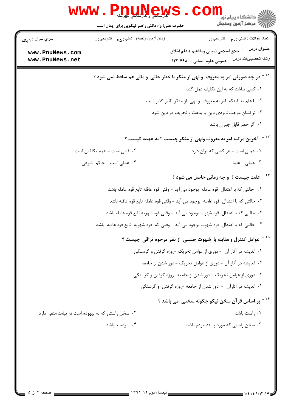|                                    | <b>www.Pnuney</b>                                | دانشڪاه پيا <sub>م</sub> نور<br>اڳ مرڪز آزمون وسنڊش                                                                              |
|------------------------------------|--------------------------------------------------|----------------------------------------------------------------------------------------------------------------------------------|
|                                    | حضرت علی(ع): دانش راهبر نیکویی برای ایمان است    |                                                                                                                                  |
| سري سوال : ۱ يک                    | زمان أزمون (دقيقه) : تستي : ۴۵ — تشريحي : .      | تعداد سوالات : تستي : پم       تشريحي : .                                                                                        |
| www.PnuNews.com<br>www.PnuNews.net |                                                  | عنــوان درس<br><sup>:</sup> اخلاق اسلامی (مبانی ومفاهیم )،علم اخلاق<br>رشته تحصيلي/كد درس<br>عمومی علوم انسانی - ۱۲۲۰۴۹۸ $\cdot$ |
|                                    |                                                  | <sup>۲۲ -</sup> در چه صورتی امر به معروف  و نهی از منکر با خطر جانی  و مالی هم ساقط <u>نمی شود</u> ؟                             |
|                                    |                                                  | ۰۱ کسی نباشد که به این تکلیف عمل کند                                                                                             |
|                                    |                                                  | ۰۲ با علم به اینکه امر به معروف و نهی از منکر تاثیر گذار است                                                                     |
|                                    |                                                  | ۰۳ ترکشان موجب نابودی دین یا بدعت و تحریف در دین شود                                                                             |
|                                    |                                                  | ۰۴ اگر خطر قابل جبران باشد                                                                                                       |
|                                    |                                                  | <sup>۲۳ -</sup> آخرین مرتبه امر به معروف ونهی از منکر چیست ؟ به عهده کیست ؟                                                      |
|                                    | ۰۲ قلبی است – همه مکلفین است                     | ٠١ عملي است - هر كسى كه توان دارد                                                                                                |
|                                    | ۰۴ عملی است - حاکم شرعی                          | ۰۳ عملی- علما                                                                                                                    |
|                                    |                                                  | <sup>11 -</sup> عفت چیست ؟ و چه زمانی حاصل می شود ؟                                                                              |
|                                    |                                                  | ٠١ حالتي كه با اعتدال  قوه عامله  بوجود مي آيد – وقتي قوه عاقله تابع قوه عامله باشد                                              |
|                                    |                                                  | ٢. حالتي كه با اعتدال  قوه عامله  بوجود مي آيد - وقتي قوه عامله تابع قوه عاقله باشد                                              |
|                                    |                                                  | ٠٣ حالتي كه با اعتدال  قوه شهوت بوجود مي آيد – وقتي قوه شهويه تابع قوه عامله باشد                                                |
|                                    |                                                  | ۰ <sup>۲</sup> حالتی که با اعتدال  قوه شهوت بوجود می آید – وقتی که  قوه شهویه  تابع قوه عاقله  باشد                              |
|                                    |                                                  | <sup>۲۵ -</sup> عوامل کنترل و مقابله با شهوت جنسی از نظر مرحوم نراقی چیست ؟                                                      |
|                                    |                                                  | ۰۱ اندیشه در آثار آن - دوری از عوامل تحریک -روزه گرفتن و گرسنگی                                                                  |
|                                    |                                                  | ۰۲ اندیشه در آثار آن - دوری از عوامل تحریک - دور شدن از جامعه                                                                    |
|                                    |                                                  | ۰۳ دوری از عوامل تحریک - دور شدن از جامعه -روزه گرفتن و گرسنگی                                                                   |
|                                    |                                                  | ۰۴ اندیشه در اثارآن - دور شدن از جامعه -روزه گرفتن و گرسنگی                                                                      |
|                                    |                                                  | <sup>۲۶ -</sup> بر اساس قرآن سخن نیکو چگونه سخنی  می باشد ؟                                                                      |
|                                    | ۰۲ سخن راستی که نه بیهوده است نه پیامد منفی دارد | ۰۱ راست باشد                                                                                                                     |
|                                    | ۰۴ سودمند باشد                                   | ۰۳ سخن راستی که مورد پسند مردم باشد                                                                                              |